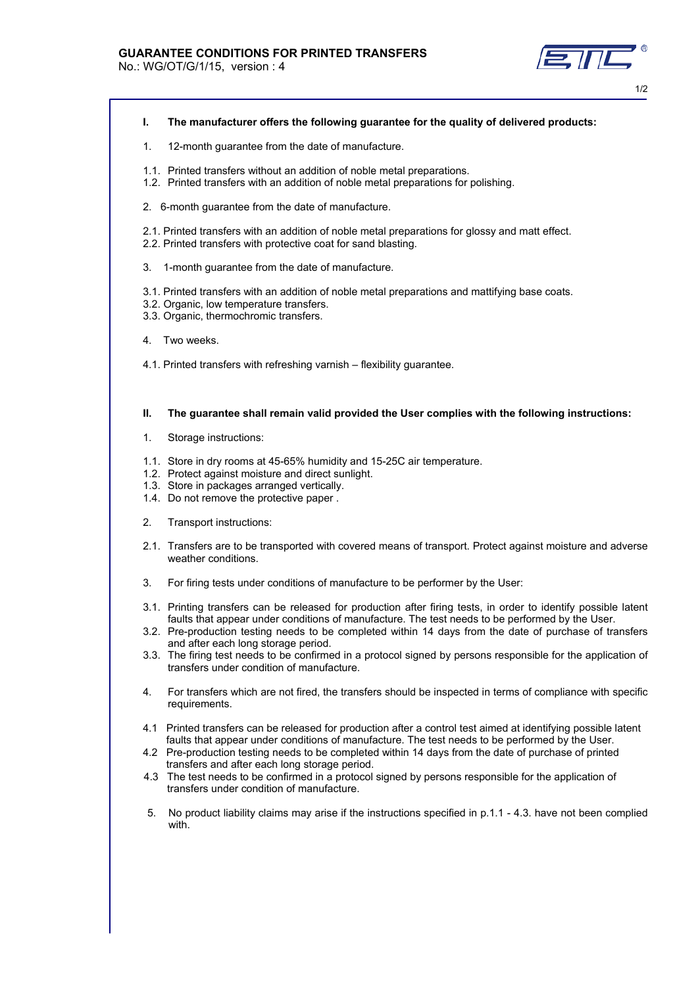No.: WG/OT/G/1/15, version : 4

- **I. The manufacturer offers the following guarantee for the quality of delivered products:**
- 1. 12-month guarantee from the date of manufacture.
- 1.1. Printed transfers without an addition of noble metal preparations.
- 1.2. Printed transfers with an addition of noble metal preparations for polishing.
- 2. 6-month guarantee from the date of manufacture.
- 2.1. Printed transfers with an addition of noble metal preparations for glossy and matt effect.
- 2.2. Printed transfers with protective coat for sand blasting.
- 3. 1-month guarantee from the date of manufacture.
- 3.1. Printed transfers with an addition of noble metal preparations and mattifying base coats.
- 3.2. Organic, low temperature transfers.
- 3.3. Organic, thermochromic transfers.
- 4. Two weeks.
- 4.1. Printed transfers with refreshing varnish flexibility guarantee.

## **II. The guarantee shall remain valid provided the User complies with the following instructions:**

- 1. Storage instructions:
- 1.1. Store in dry rooms at 45-65% humidity and 15-25C air temperature.
- 1.2. Protect against moisture and direct sunlight.
- 1.3. Store in packages arranged vertically.
- 1.4. Do not remove the protective paper .
- 2. Transport instructions:
- 2.1. Transfers are to be transported with covered means of transport. Protect against moisture and adverse weather conditions.
- 3. For firing tests under conditions of manufacture to be performer by the User:
- 3.1. Printing transfers can be released for production after firing tests, in order to identify possible latent faults that appear under conditions of manufacture. The test needs to be performed by the User.
- 3.2. Pre-production testing needs to be completed within 14 days from the date of purchase of transfers and after each long storage period.
- 3.3. The firing test needs to be confirmed in a protocol signed by persons responsible for the application of transfers under condition of manufacture.
- 4. For transfers which are not fired, the transfers should be inspected in terms of compliance with specific requirements.
- 4.1 Printed transfers can be released for production after a control test aimed at identifying possible latent faults that appear under conditions of manufacture. The test needs to be performed by the User.
- 4.2 Pre-production testing needs to be completed within 14 days from the date of purchase of printed transfers and after each long storage period.
- 4.3 The test needs to be confirmed in a protocol signed by persons responsible for the application of transfers under condition of manufacture.
- 5. No product liability claims may arise if the instructions specified in p.1.1 4.3. have not been complied with.